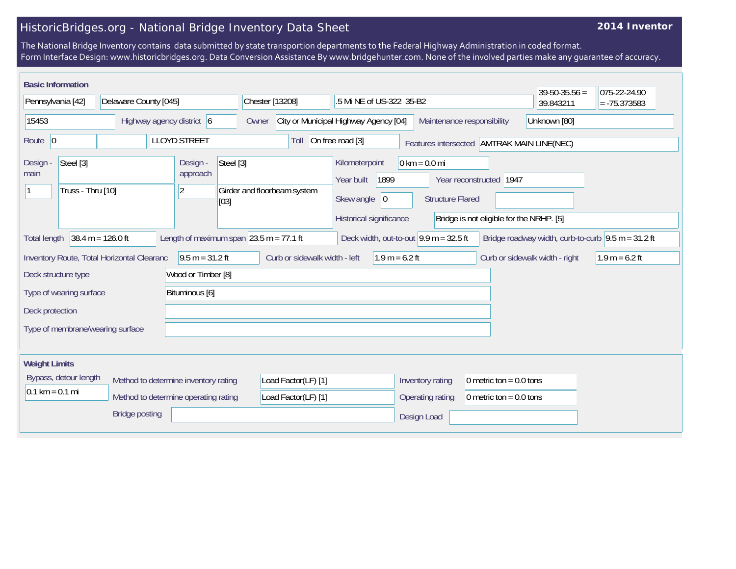## HistoricBridges.org - National Bridge Inventory Data Sheet

## **2014 Inventor**

The National Bridge Inventory contains data submitted by state transportion departments to the Federal Highway Administration in coded format. Form Interface Design: www.historicbridges.org. Data Conversion Assistance By www.bridgehunter.com. None of the involved parties make any guarantee of accuracy.

| <b>Basic Information</b>          |                                            |                                             |                                                            |                                                          |                                                            |                                            | $39 - 50 - 35.56 =$                                         | 075-22-24.90     |
|-----------------------------------|--------------------------------------------|---------------------------------------------|------------------------------------------------------------|----------------------------------------------------------|------------------------------------------------------------|--------------------------------------------|-------------------------------------------------------------|------------------|
| Pennsylvania [42]                 |                                            | Delaware County [045]                       |                                                            | .5 Mi NE of US-322 35-B2                                 |                                                            |                                            | 39.843211                                                   | $= -75.373583$   |
| 15453                             | Highway agency district $\vert 6 \vert$    |                                             | Owner                                                      | City or Municipal Highway Agency [04]                    | Maintenance responsibility                                 |                                            | Unknown [80]                                                |                  |
| Route $ 0$                        |                                            | <b>LLOYD STREET</b>                         | Toll                                                       | On free road [3]                                         |                                                            | Features intersected AMTRAK MAIN LINE(NEC) |                                                             |                  |
| Steel [3]<br>Design -<br>main     | Truss - Thru [10]                          | Design -<br>approach<br>$ 2\rangle$<br>[03] | Steel [3]<br>Girder and floorbeam system                   | Kilometerpoint<br>1899<br>Year built<br>Skew angle 0     | $0 \text{ km} = 0.0 \text{ mi}$<br><b>Structure Flared</b> | Year reconstructed 1947                    |                                                             |                  |
|                                   |                                            |                                             |                                                            | Historical significance                                  |                                                            | Bridge is not eligible for the NRHP. [5]   |                                                             |                  |
| <b>Total length</b>               | $38.4 m = 126.0 ft$                        |                                             | Length of maximum span $ 23.5 \text{ m} = 77.1 \text{ ft}$ | Deck width, out-to-out $9.9 \text{ m} = 32.5 \text{ ft}$ |                                                            |                                            | Bridge roadway width, curb-to-curb $\sqrt{9.5}$ m = 31.2 ft |                  |
|                                   | Inventory Route, Total Horizontal Clearanc | $9.5 m = 31.2 ft$                           | Curb or sidewalk width - left                              | $1.9 m = 6.2 ft$                                         |                                                            |                                            | Curb or sidewalk width - right                              | $1.9 m = 6.2 ft$ |
| Deck structure type               |                                            | Wood or Timber [8]                          |                                                            |                                                          |                                                            |                                            |                                                             |                  |
| Type of wearing surface           |                                            | Bituminous [6]                              |                                                            |                                                          |                                                            |                                            |                                                             |                  |
| Deck protection                   |                                            |                                             |                                                            |                                                          |                                                            |                                            |                                                             |                  |
| Type of membrane/wearing surface  |                                            |                                             |                                                            |                                                          |                                                            |                                            |                                                             |                  |
|                                   |                                            |                                             |                                                            |                                                          |                                                            |                                            |                                                             |                  |
| <b>Weight Limits</b>              |                                            |                                             |                                                            |                                                          |                                                            |                                            |                                                             |                  |
| Bypass, detour length             |                                            | Method to determine inventory rating        | Load Factor(LF) [1]                                        |                                                          | Inventory rating                                           | 0 metric ton = $0.0$ tons                  |                                                             |                  |
| $0.1 \text{ km} = 0.1 \text{ mi}$ |                                            | Method to determine operating rating        | Load Factor(LF) [1]                                        |                                                          | Operating rating                                           | 0 metric ton = $0.0$ tons                  |                                                             |                  |
|                                   | <b>Bridge posting</b>                      |                                             |                                                            |                                                          | Design Load                                                |                                            |                                                             |                  |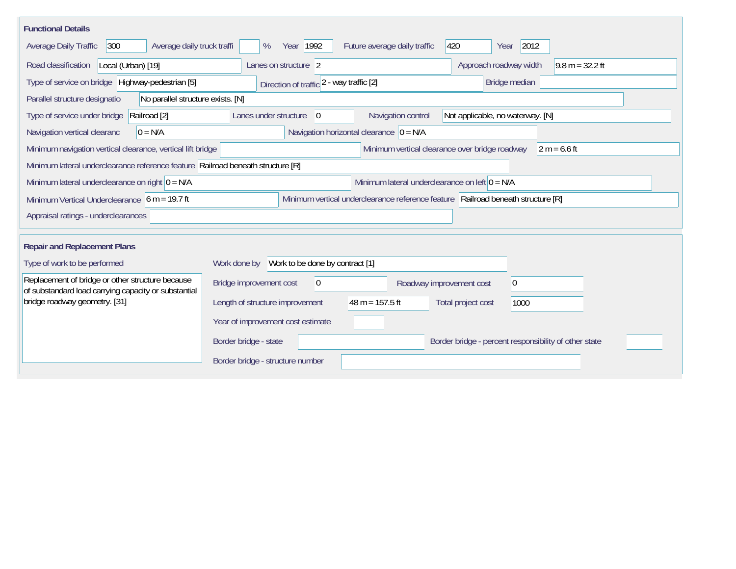| <b>Functional Details</b>                                                                                |                                                                                                   |
|----------------------------------------------------------------------------------------------------------|---------------------------------------------------------------------------------------------------|
| 300<br>Average daily truck traffi<br>Average Daily Traffic                                               | 2012<br>420<br>Year 1992<br>Future average daily traffic<br>%<br>Year                             |
| Road classification<br>Local (Urban) [19]                                                                | Approach roadway width<br>$9.8 m = 32.2 ft$<br>Lanes on structure 2                               |
| Type of service on bridge Highway-pedestrian [5]                                                         | Direction of traffic 2 - way traffic [2]<br>Bridge median                                         |
| No parallel structure exists. [N]<br>Parallel structure designatio                                       |                                                                                                   |
| Type of service under bridge<br>Railroad [2]                                                             | Navigation control<br>Lanes under structure<br>$\overline{0}$<br>Not applicable, no waterway. [N] |
| Navigation vertical clearanc<br>$0 = N/A$                                                                | Navigation horizontal clearance $ 0 = N/A$                                                        |
| Minimum navigation vertical clearance, vertical lift bridge                                              | Minimum vertical clearance over bridge roadway<br>$2 m = 6.6 ft$                                  |
| Minimum lateral underclearance reference feature Railroad beneath structure [R]                          |                                                                                                   |
| Minimum lateral underclearance on right $0 = N/A$                                                        | Minimum lateral underclearance on left $0 = N/A$                                                  |
| Minimum Vertical Underclearance $6 m = 19.7 ft$                                                          | Minimum vertical underclearance reference feature Railroad beneath structure [R]                  |
| Appraisal ratings - underclearances                                                                      |                                                                                                   |
| <b>Repair and Replacement Plans</b>                                                                      |                                                                                                   |
| Type of work to be performed                                                                             | Work done by Work to be done by contract [1]                                                      |
| Replacement of bridge or other structure because<br>of substandard load carrying capacity or substantial | Bridge improvement cost<br> 0 <br>$\theta$<br>Roadway improvement cost                            |
| bridge roadway geometry. [31]                                                                            | Length of structure improvement<br>$48 m = 157.5 ft$<br>Total project cost<br>1000                |
|                                                                                                          | Year of improvement cost estimate                                                                 |
|                                                                                                          | Border bridge - state<br>Border bridge - percent responsibility of other state                    |
|                                                                                                          | Border bridge - structure number                                                                  |